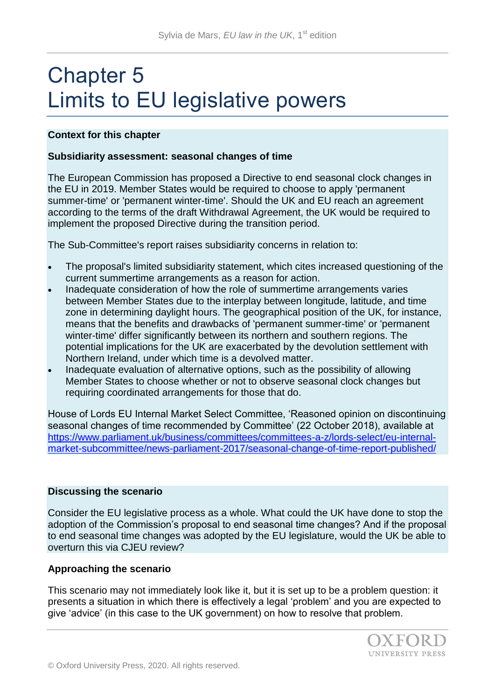# Chapter 5 Limits to EU legislative powers

### **Context for this chapter**

#### **Subsidiarity assessment: seasonal changes of time**

The European Commission has proposed a Directive to end seasonal clock changes in the EU in 2019. Member States would be required to choose to apply 'permanent summer-time' or 'permanent winter-time'. Should the UK and EU reach an agreement according to the terms of the draft Withdrawal Agreement, the UK would be required to implement the proposed Directive during the transition period.

The Sub-Committee's report raises subsidiarity concerns in relation to:

- The proposal's limited subsidiarity statement, which cites increased questioning of the current summertime arrangements as a reason for action.
- Inadequate consideration of how the role of summertime arrangements varies between Member States due to the interplay between longitude, latitude, and time zone in determining daylight hours. The geographical position of the UK, for instance, means that the benefits and drawbacks of 'permanent summer-time' or 'permanent winter-time' differ significantly between its northern and southern regions. The potential implications for the UK are exacerbated by the devolution settlement with Northern Ireland, under which time is a devolved matter.
- Inadequate evaluation of alternative options, such as the possibility of allowing Member States to choose whether or not to observe seasonal clock changes but requiring coordinated arrangements for those that do.

House of Lords EU Internal Market Select Committee, 'Reasoned opinion on discontinuing seasonal changes of time recommended by Committee' (22 October 2018), available at [https://www.parliament.uk/business/committees/committees-a-z/lords-select/eu-internal](https://www.parliament.uk/business/committees/committees-a-z/lords-select/eu-internal-market-subcommittee/news-parliament-2017/seasonal-change-of-time-report-published/)[market-subcommittee/news-parliament-2017/seasonal-change-of-time-report-published/](https://www.parliament.uk/business/committees/committees-a-z/lords-select/eu-internal-market-subcommittee/news-parliament-2017/seasonal-change-of-time-report-published/)

#### **Discussing the scenario**

Consider the EU legislative process as a whole. What could the UK have done to stop the adoption of the Commission's proposal to end seasonal time changes? And if the proposal to end seasonal time changes was adopted by the EU legislature, would the UK be able to overturn this via CJEU review?

#### **Approaching the scenario**

This scenario may not immediately look like it, but it is set up to be a problem question: it presents a situation in which there is effectively a legal 'problem' and you are expected to give 'advice' (in this case to the UK government) on how to resolve that problem.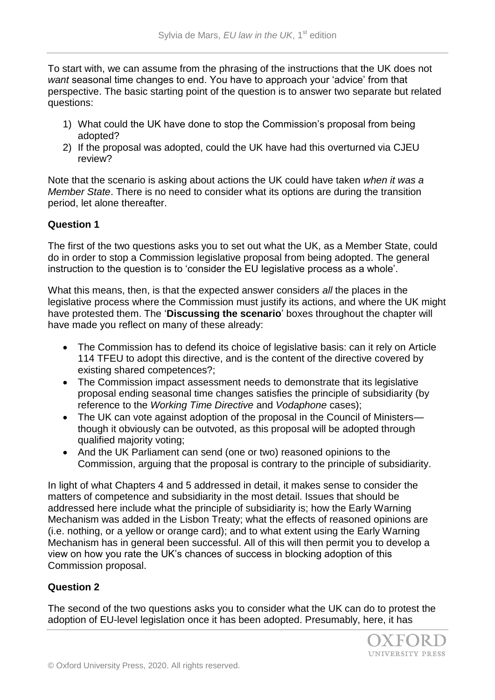To start with, we can assume from the phrasing of the instructions that the UK does not *want* seasonal time changes to end. You have to approach your 'advice' from that perspective. The basic starting point of the question is to answer two separate but related questions:

- 1) What could the UK have done to stop the Commission's proposal from being adopted?
- 2) If the proposal was adopted, could the UK have had this overturned via CJEU review?

Note that the scenario is asking about actions the UK could have taken *when it was a Member State*. There is no need to consider what its options are during the transition period, let alone thereafter.

## **Question 1**

The first of the two questions asks you to set out what the UK, as a Member State, could do in order to stop a Commission legislative proposal from being adopted. The general instruction to the question is to 'consider the EU legislative process as a whole'.

What this means, then, is that the expected answer considers *all* the places in the legislative process where the Commission must justify its actions, and where the UK might have protested them. The '**Discussing the scenario**' boxes throughout the chapter will have made you reflect on many of these already:

- The Commission has to defend its choice of legislative basis: can it rely on Article 114 TFEU to adopt this directive, and is the content of the directive covered by existing shared competences?;
- The Commission impact assessment needs to demonstrate that its legislative proposal ending seasonal time changes satisfies the principle of subsidiarity (by reference to the *Working Time Directive* and *Vodaphone* cases);
- The UK can vote against adoption of the proposal in the Council of Ministersthough it obviously can be outvoted, as this proposal will be adopted through qualified majority voting;
- And the UK Parliament can send (one or two) reasoned opinions to the Commission, arguing that the proposal is contrary to the principle of subsidiarity.

In light of what Chapters 4 and 5 addressed in detail, it makes sense to consider the matters of competence and subsidiarity in the most detail. Issues that should be addressed here include what the principle of subsidiarity is; how the Early Warning Mechanism was added in the Lisbon Treaty; what the effects of reasoned opinions are (i.e. nothing, or a yellow or orange card); and to what extent using the Early Warning Mechanism has in general been successful. All of this will then permit you to develop a view on how you rate the UK's chances of success in blocking adoption of this Commission proposal.

## **Question 2**

The second of the two questions asks you to consider what the UK can do to protest the adoption of EU-level legislation once it has been adopted. Presumably, here, it has